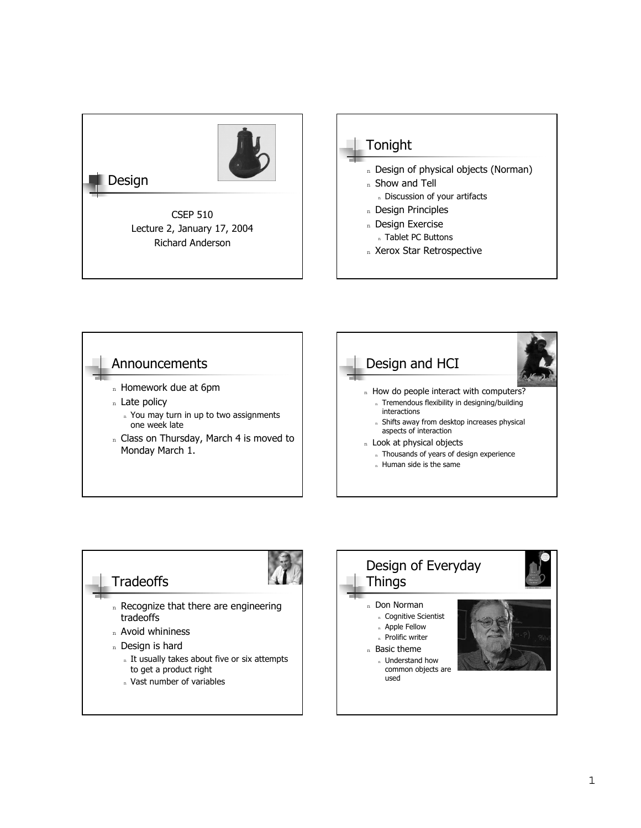





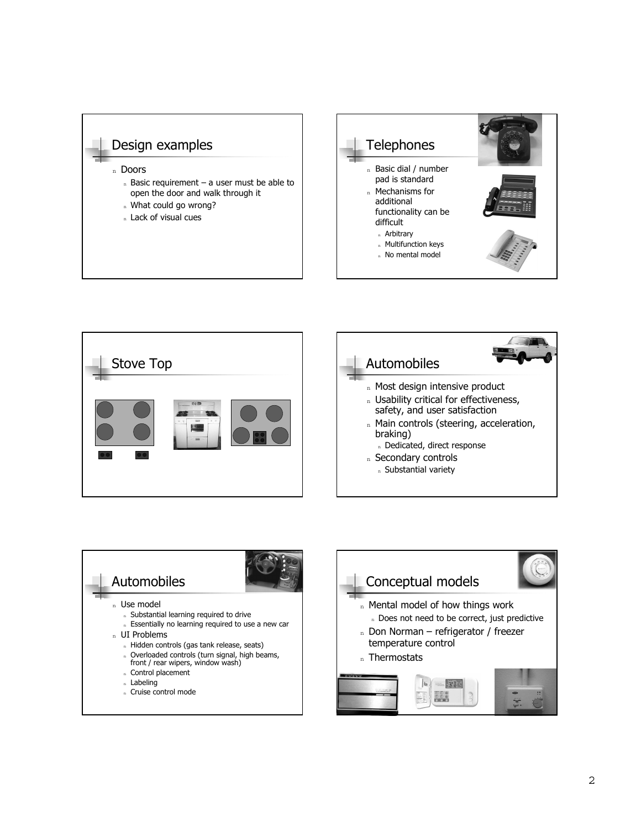







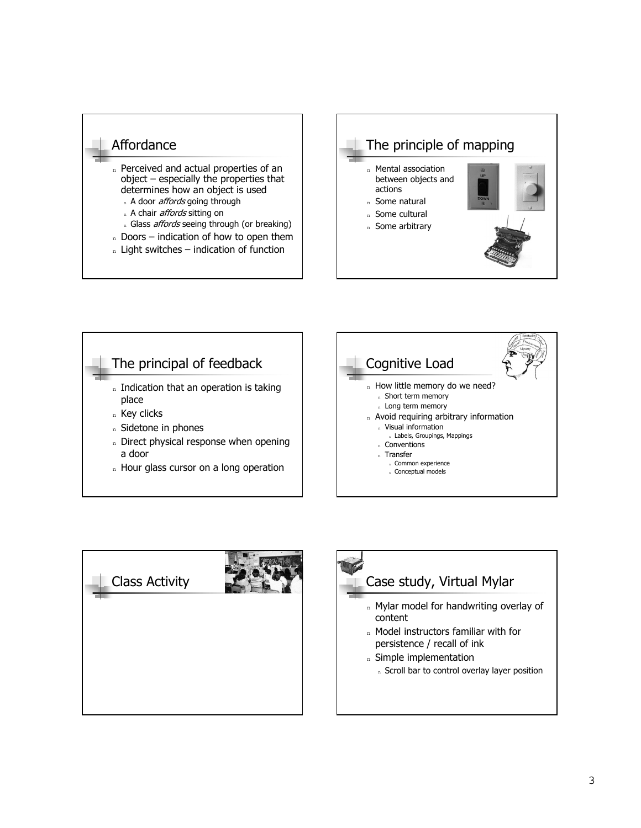# Affordance

- n Perceived and actual properties of an  $object - especially$  the properties that determines how an object is used
	- n A door *affords* going through
	- n A chair *affords* sitting on
	- n Glass *affords* seeing through (or breaking)
- $n$  Doors indication of how to open them
- $n$  Light switches indication of function







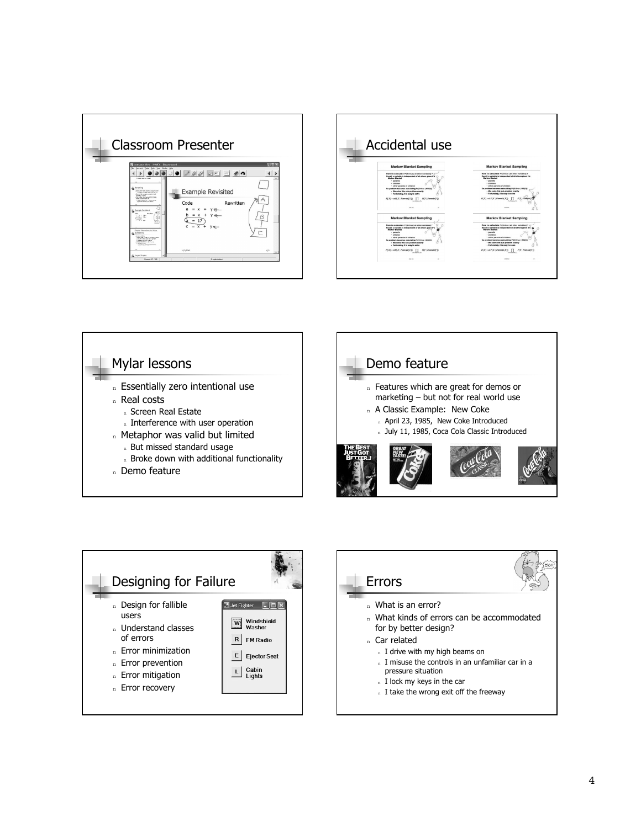







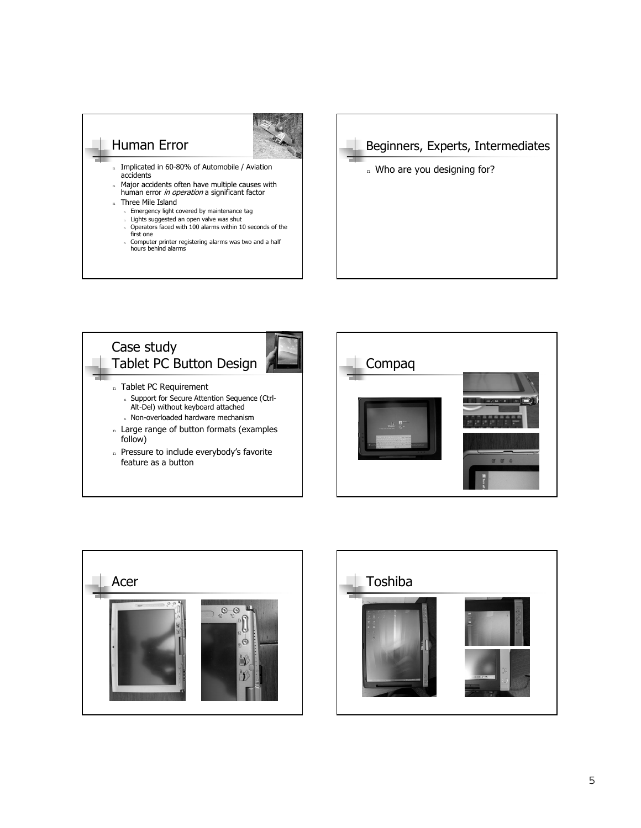# Human Error



- <sup>n</sup> Implicated in 60-80% of Automobile / Aviation accidents
- Major accidents often have multiple causes with human error in operation a significant factor n Three Mile Island
	-
	- n Emergency light covered by maintenance tag<br>n Lights suggested an open valve was shut
	- <sup>n</sup> Operators faced with 100 alarms within 10 seconds of the first one
	- <sup>n</sup> Computer printer registering alarms was two and a half hours behind alarms









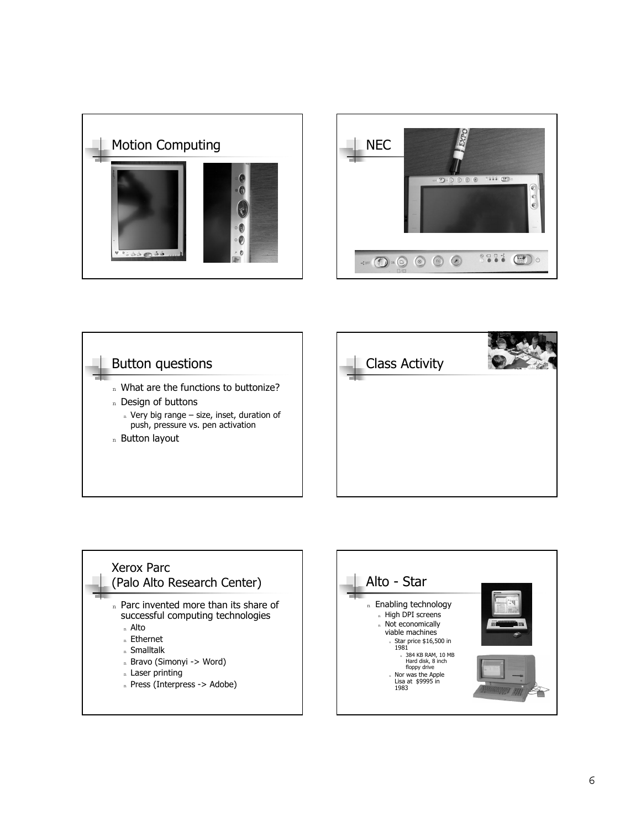







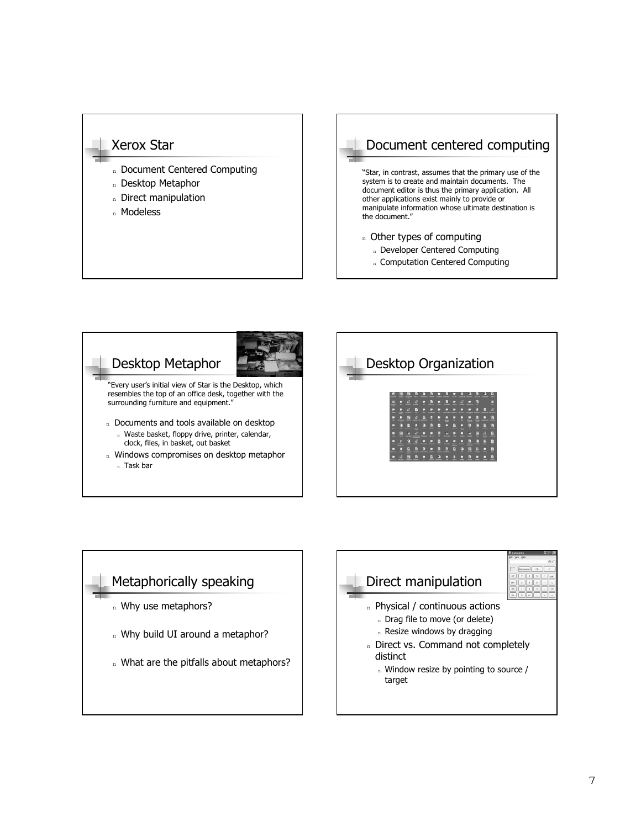### Xerox Star

- n Document Centered Computing
- <sup>n</sup> Desktop Metaphor
- n Direct manipulation
- <sup>n</sup> Modeless

## Document centered computing n Other types of computing n Developer Centered Computing "Star, in contrast, assumes that the primary use of the system is to create and maintain documents. The document editor is thus the primary application. All other applications exist mainly to provide or manipulate information whose ultimate destination is the document."

- n Computation Centered Computing
- Desktop Metaphor n Documents and tools available on desktop n Waste basket, floppy drive, printer, calendar, clock, files, in basket, out basket n Windows compromises on desktop metaphor <sup>n</sup> Task bar ìEvery userís initial view of Star is the Desktop, which resembles the top of an office desk, together with the surrounding furniture and equipment.<sup>'</sup>



### Metaphorically speaking n Why use metaphors? n Why build UI around a metaphor? n What are the pitfalls about metaphors? Direct manipulation n Physical / continuous actions n Drag file to move (or delete) n Resize windows by dragging n Direct vs. Command not completely distinct n Window resize by pointing to source / target